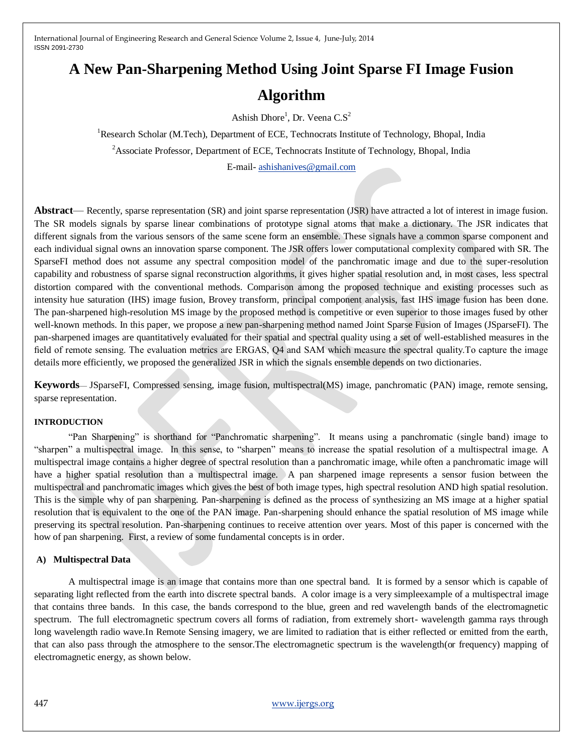# **A New Pan-Sharpening Method Using Joint Sparse FI Image Fusion**

## **Algorithm**

Ashish Dhore<sup>1</sup>, Dr. Veena C.S<sup>2</sup>

<sup>1</sup>Research Scholar (M.Tech), Department of ECE, Technocrats Institute of Technology, Bhopal, India

<sup>2</sup>Associate Professor, Department of ECE, Technocrats Institute of Technology, Bhopal, India

E-mail- [ashishanives@gmail.com](mailto:ashishanives@gmail.com)

**Abstract**— Recently, sparse representation (SR) and joint sparse representation (JSR) have attracted a lot of interest in image fusion. The SR models signals by sparse linear combinations of prototype signal atoms that make a dictionary. The JSR indicates that different signals from the various sensors of the same scene form an ensemble. These signals have a common sparse component and each individual signal owns an innovation sparse component. The JSR offers lower computational complexity compared with SR. The SparseFI method does not assume any spectral composition model of the panchromatic image and due to the super-resolution capability and robustness of sparse signal reconstruction algorithms, it gives higher spatial resolution and, in most cases, less spectral distortion compared with the conventional methods. Comparison among the proposed technique and existing processes such as intensity hue saturation (IHS) image fusion, Brovey transform, principal component analysis, fast IHS image fusion has been done. The pan-sharpened high-resolution MS image by the proposed method is competitive or even superior to those images fused by other well-known methods. In this paper, we propose a new pan-sharpening method named Joint Sparse Fusion of Images (JSparseFI). The pan-sharpened images are quantitatively evaluated for their spatial and spectral quality using a set of well-established measures in the field of remote sensing. The evaluation metrics are ERGAS, Q4 and SAM which measure the spectral quality.To capture the image details more efficiently, we proposed the generalized JSR in which the signals ensemble depends on two dictionaries.

**Keywords**— JSparseFI, Compressed sensing, image fusion, multispectral(MS) image, panchromatic (PAN) image, remote sensing, sparse representation.

## **INTRODUCTION**

"Pan Sharpening" is shorthand for "Panchromatic sharpening". It means using a panchromatic (single band) image to "sharpen" a multispectral image. In this sense, to "sharpen" means to increase the spatial resolution of a multispectral image. A multispectral image contains a higher degree of spectral resolution than a panchromatic image, while often a panchromatic image will have a higher spatial resolution than a multispectral image. A pan sharpened image represents a sensor fusion between the multispectral and panchromatic images which gives the best of both image types, high spectral resolution AND high spatial resolution. This is the simple why of pan sharpening. Pan-sharpening is defined as the process of synthesizing an MS image at a higher spatial resolution that is equivalent to the one of the PAN image. Pan-sharpening should enhance the spatial resolution of MS image while preserving its spectral resolution. Pan-sharpening continues to receive attention over years. Most of this paper is concerned with the how of pan sharpening. First, a review of some fundamental concepts is in order.

## **A) Multispectral Data**

A multispectral image is an image that contains more than one spectral band. It is formed by a sensor which is capable of separating light reflected from the earth into discrete spectral bands. A color image is a very simpleexample of a multispectral image that contains three bands. In this case, the bands correspond to the blue, green and red wavelength bands of the electromagnetic spectrum. The full electromagnetic spectrum covers all forms of radiation, from extremely short- wavelength gamma rays through long wavelength radio wave.In Remote Sensing imagery, we are limited to radiation that is either reflected or emitted from the earth, that can also pass through the atmosphere to the sensor.The electromagnetic spectrum is the wavelength(or frequency) mapping of electromagnetic energy, as shown below.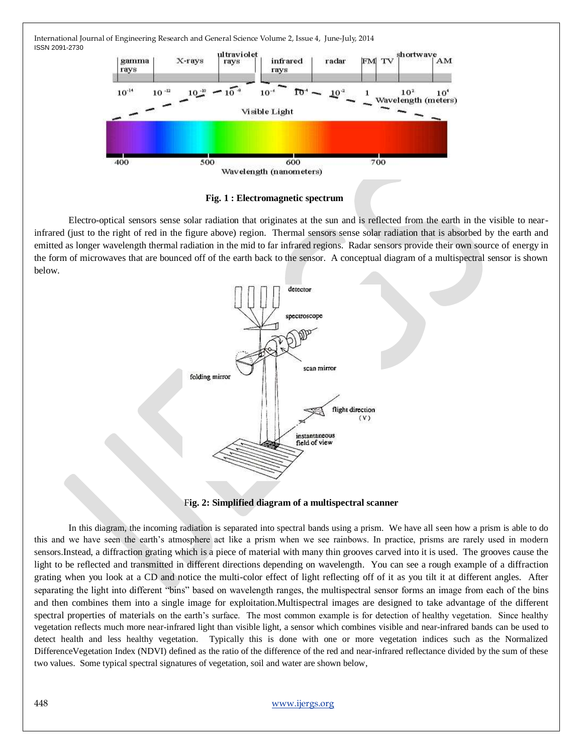



**Fig. 1 : Electromagnetic spectrum**

Electro-optical sensors sense solar radiation that originates at the sun and is reflected from the earth in the visible to nearinfrared (just to the right of red in the figure above) region. Thermal sensors sense solar radiation that is absorbed by the earth and emitted as longer wavelength thermal radiation in the mid to far infrared regions. Radar sensors provide their own source of energy in the form of microwaves that are bounced off of the earth back to the sensor. A conceptual diagram of a multispectral sensor is shown below.



F**ig. 2: Simplified diagram of a multispectral scanner**

In this diagram, the incoming radiation is separated into spectral bands using a prism. We have all seen how a prism is able to do this and we have seen the earth's atmosphere act like a prism when we see rainbows. In practice, prisms are rarely used in modern sensors.Instead, a diffraction grating which is a piece of material with many thin grooves carved into it is used. The grooves cause the light to be reflected and transmitted in different directions depending on wavelength. You can see a rough example of a diffraction grating when you look at a CD and notice the multi-color effect of light reflecting off of it as you tilt it at different angles. After separating the light into different "bins" based on wavelength ranges, the multispectral sensor forms an image from each of the bins and then combines them into a single image for exploitation.Multispectral images are designed to take advantage of the different spectral properties of materials on the earth's surface. The most common example is for detection of healthy vegetation. Since healthy vegetation reflects much more near-infrared light than visible light, a sensor which combines visible and near-infrared bands can be used to detect health and less healthy vegetation. Typically this is done with one or more vegetation indices such as the Normalized DifferenceVegetation Index (NDVI) defined as the ratio of the difference of the red and near-infrared reflectance divided by the sum of these two values. Some typical spectral signatures of vegetation, soil and water are shown below,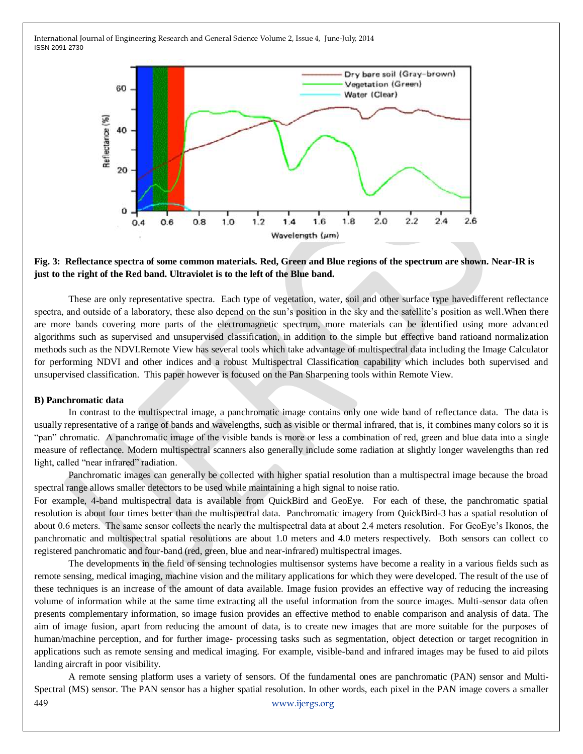

## **Fig. 3: Reflectance spectra of some common materials. Red, Green and Blue regions of the spectrum are shown. Near-IR is just to the right of the Red band. Ultraviolet is to the left of the Blue band.**

These are only representative spectra. Each type of vegetation, water, soil and other surface type havedifferent reflectance spectra, and outside of a laboratory, these also depend on the sun's position in the sky and the satellite's position as well.When there are more bands covering more parts of the electromagnetic spectrum, more materials can be identified using more advanced algorithms such as supervised and unsupervised classification, in addition to the simple but effective band ratioand normalization methods such as the NDVI.Remote View has several tools which take advantage of multispectral data including the Image Calculator for performing NDVI and other indices and a robust Multispectral Classification capability which includes both supervised and unsupervised classification. This paper however is focused on the Pan Sharpening tools within Remote View.

#### **B) Panchromatic data**

In contrast to the multispectral image, a panchromatic image contains only one wide band of reflectance data. The data is usually representative of a range of bands and wavelengths, such as visible or thermal infrared, that is, it combines many colors so it is "pan" chromatic. A panchromatic image of the visible bands is more or less a combination of red, green and blue data into a single measure of reflectance. Modern multispectral scanners also generally include some radiation at slightly longer wavelengths than red light, called "near infrared" radiation.

Panchromatic images can generally be collected with higher spatial resolution than a multispectral image because the broad spectral range allows smaller detectors to be used while maintaining a high signal to noise ratio.

For example, 4-band multispectral data is available from QuickBird and GeoEye. For each of these, the panchromatic spatial resolution is about four times better than the multispectral data. Panchromatic imagery from QuickBird-3 has a spatial resolution of about 0.6 meters. The same sensor collects the nearly the multispectral data at about 2.4 meters resolution. For GeoEye's Ikonos, the panchromatic and multispectral spatial resolutions are about 1.0 meters and 4.0 meters respectively. Both sensors can collect co registered panchromatic and four-band (red, green, blue and near-infrared) multispectral images.

The developments in the field of sensing technologies multisensor systems have become a reality in a various fields such as remote sensing, medical imaging, machine vision and the military applications for which they were developed. The result of the use of these techniques is an increase of the amount of data available. Image fusion provides an effective way of reducing the increasing volume of information while at the same time extracting all the useful information from the source images. Multi-sensor data often presents complementary information, so image fusion provides an effective method to enable comparison and analysis of data. The aim of image fusion, apart from reducing the amount of data, is to create new images that are more suitable for the purposes of human/machine perception, and for further image- processing tasks such as segmentation, object detection or target recognition in applications such as remote sensing and medical imaging. For example, visible-band and infrared images may be fused to aid pilots landing aircraft in poor visibility.

449 [www.ijergs.org](http://www.ijergs.org/) A remote sensing platform uses a variety of sensors. Of the fundamental ones are panchromatic (PAN) sensor and Multi-Spectral (MS) sensor. The PAN sensor has a higher spatial resolution. In other words, each pixel in the PAN image covers a smaller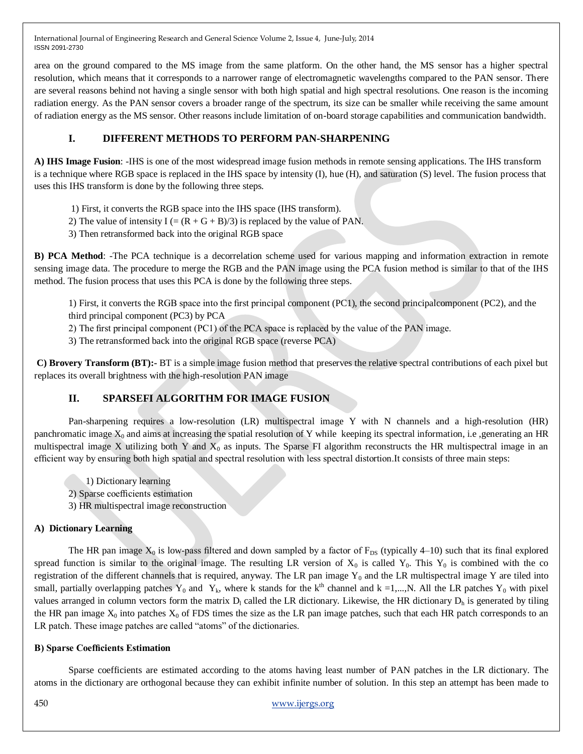area on the ground compared to the MS image from the same platform. On the other hand, the MS sensor has a higher spectral resolution, which means that it corresponds to a narrower range of electromagnetic wavelengths compared to the PAN sensor. There are several reasons behind not having a single sensor with both high spatial and high spectral resolutions. One reason is the incoming radiation energy. As the PAN sensor covers a broader range of the spectrum, its size can be smaller while receiving the same amount of radiation energy as the MS sensor. Other reasons include limitation of on-board storage capabilities and communication bandwidth.

## **I. DIFFERENT METHODS TO PERFORM PAN-SHARPENING**

**A) IHS Image Fusion**: -IHS is one of the most widespread image fusion methods in remote sensing applications. The IHS transform is a technique where RGB space is replaced in the IHS space by intensity (I), hue (H), and saturation (S) level. The fusion process that uses this IHS transform is done by the following three steps.

- 1) First, it converts the RGB space into the IHS space (IHS transform).
- 2) The value of intensity  $I = (R + G + B)/3$  is replaced by the value of PAN.
- 3) Then retransformed back into the original RGB space

**B) PCA Method**: -The PCA technique is a decorrelation scheme used for various mapping and information extraction in remote sensing image data. The procedure to merge the RGB and the PAN image using the PCA fusion method is similar to that of the IHS method. The fusion process that uses this PCA is done by the following three steps.

1) First, it converts the RGB space into the first principal component (PC1), the second principalcomponent (PC2), and the third principal component (PC3) by PCA

2) The first principal component (PC1) of the PCA space is replaced by the value of the PAN image.

3) The retransformed back into the original RGB space (reverse PCA)

**C) Brovery Transform (BT):-** BT is a simple image fusion method that preserves the relative spectral contributions of each pixel but replaces its overall brightness with the high-resolution PAN image

## **II. SPARSEFI ALGORITHM FOR IMAGE FUSION**

Pan-sharpening requires a low-resolution (LR) multispectral image Y with N channels and a high-resolution (HR) panchromatic image  $X_0$  and aims at increasing the spatial resolution of Y while keeping its spectral information, i.e ,generating an HR multispectral image X utilizing both Y and  $X_0$  as inputs. The Sparse FI algorithm reconstructs the HR multispectral image in an efficient way by ensuring both high spatial and spectral resolution with less spectral distortion.It consists of three main steps:

- 1) Dictionary learning
- 2) Sparse coefficients estimation
- 3) HR multispectral image reconstruction

## **A) Dictionary Learning**

The HR pan image  $X_0$  is low-pass filtered and down sampled by a factor of  $F_{DS}$  (typically 4–10) such that its final explored spread function is similar to the original image. The resulting LR version of  $X_0$  is called  $Y_0$ . This  $Y_0$  is combined with the co registration of the different channels that is required, anyway. The LR pan image  $Y_0$  and the LR multispectral image Y are tiled into small, partially overlapping patches  $Y_0$  and  $Y_k$ , where k stands for the k<sup>th</sup> channel and k =1,...,N. All the LR patches  $Y_0$  with pixel values arranged in column vectors form the matrix  $D_l$  called the LR dictionary. Likewise, the HR dictionary  $D_h$  is generated by tiling the HR pan image  $X_0$  into patches  $X_0$  of FDS times the size as the LR pan image patches, such that each HR patch corresponds to an LR patch. These image patches are called "atoms" of the dictionaries.

## **B) Sparse Coefficients Estimation**

Sparse coefficients are estimated according to the atoms having least number of PAN patches in the LR dictionary. The atoms in the dictionary are orthogonal because they can exhibit infinite number of solution. In this step an attempt has been made to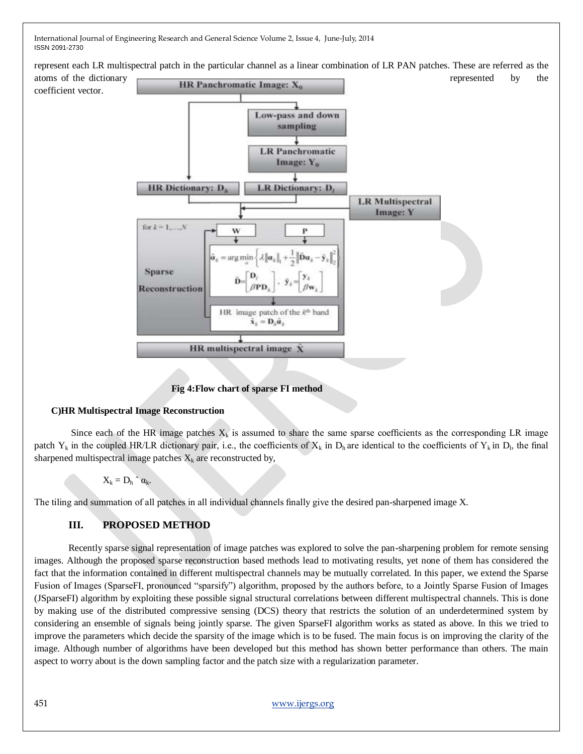represent each LR multispectral patch in the particular channel as a linear combination of LR PAN patches. These are referred as the



## **Fig 4:Flow chart of sparse FI method**

## **C)HR Multispectral Image Reconstruction**

Since each of the HR image patches  $X_k$  is assumed to share the same sparse coefficients as the corresponding LR image patch  $Y_k$  in the coupled HR/LR dictionary pair, i.e., the coefficients of  $X_k$  in  $D_h$  are identical to the coefficients of  $Y_k$  in  $D_h$ , the final sharpened multispectral image patches  $X_k$  are reconstructed by,

 $X_k = D_h \hat{a}_{k.}$ 

The tiling and summation of all patches in all individual channels finally give the desired pan-sharpened image X.

## **III. PROPOSED METHOD**

Recently sparse signal representation of image patches was explored to solve the pan-sharpening problem for remote sensing images. Although the proposed sparse reconstruction based methods lead to motivating results, yet none of them has considered the fact that the information contained in different multispectral channels may be mutually correlated. In this paper, we extend the Sparse Fusion of Images (SparseFI, pronounced "sparsify") algorithm, proposed by the authors before, to a Jointly Sparse Fusion of Images (JSparseFI) algorithm by exploiting these possible signal structural correlations between different multispectral channels. This is done by making use of the distributed compressive sensing (DCS) theory that restricts the solution of an underdetermined system by considering an ensemble of signals being jointly sparse. The given SparseFI algorithm works as stated as above. In this we tried to improve the parameters which decide the sparsity of the image which is to be fused. The main focus is on improving the clarity of the image. Although number of algorithms have been developed but this method has shown better performance than others. The main aspect to worry about is the down sampling factor and the patch size with a regularization parameter.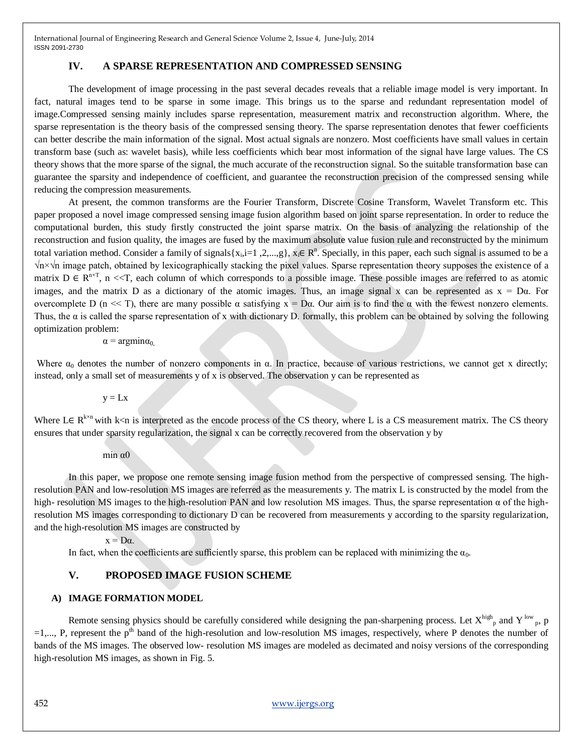#### **IV. A SPARSE REPRESENTATION AND COMPRESSED SENSING**

The development of image processing in the past several decades reveals that a reliable image model is very important. In fact, natural images tend to be sparse in some image. This brings us to the sparse and redundant representation model of image.Compressed sensing mainly includes sparse representation, measurement matrix and reconstruction algorithm. Where, the sparse representation is the theory basis of the compressed sensing theory. The sparse representation denotes that fewer coefficients can better describe the main information of the signal. Most actual signals are nonzero. Most coefficients have small values in certain transform base (such as: wavelet basis), while less coefficients which bear most information of the signal have large values. The CS theory shows that the more sparse of the signal, the much accurate of the reconstruction signal. So the suitable transformation base can guarantee the sparsity and independence of coefficient, and guarantee the reconstruction precision of the compressed sensing while reducing the compression measurements.

At present, the common transforms are the Fourier Transform, Discrete Cosine Transform, Wavelet Transform etc. This paper proposed a novel image compressed sensing image fusion algorithm based on joint sparse representation. In order to reduce the computational burden, this study firstly constructed the joint sparse matrix. On the basis of analyzing the relationship of the reconstruction and fusion quality, the images are fused by the maximum absolute value fusion rule and reconstructed by the minimum total variation method. Consider a family of signals $\{x_i, i=1, 2, ..., g\}$ ,  $x_i \in \mathbb{R}^n$ . Specially, in this paper, each such signal is assumed to be a √n×√n image patch, obtained by lexicographically stacking the pixel values. Sparse representation theory supposes the existence of a matrix  $D \in R^{n \times T}$ , n <<T, each column of which corresponds to a possible image. These possible images are referred to as atomic images, and the matrix D as a dictionary of the atomic images. Thus, an image signal x can be represented as  $x = D\alpha$ . For overcomplete D (n << T), there are many possible α satisfying  $x = Dα$ . Our aim is to find the α with the fewest nonzero elements. Thus, the  $\alpha$  is called the sparse representation of x with dictionary D. formally, this problem can be obtained by solving the following optimization problem:

 $\alpha$  = argmin $\alpha_0$ 

Where  $\alpha_0$  denotes the number of nonzero components in  $\alpha$ . In practice, because of various restrictions, we cannot get x directly; instead, only a small set of measurements y of x is observed. The observation y can be represented as

 $y = Lx$ 

Where L $\in$  R<sup>kxn</sup> with k<n is interpreted as the encode process of the CS theory, where L is a CS measurement matrix. The CS theory ensures that under sparsity regularization, the signal x can be correctly recovered from the observation y by

#### min  $\alpha$ 0

In this paper, we propose one remote sensing image fusion method from the perspective of compressed sensing. The highresolution PAN and low-resolution MS images are referred as the measurements y. The matrix L is constructed by the model from the high- resolution MS images to the high-resolution PAN and low resolution MS images. Thus, the sparse representation  $\alpha$  of the highresolution MS images corresponding to dictionary D can be recovered from measurements y according to the sparsity regularization, and the high-resolution MS images are constructed by

 $x = D\alpha$ .

In fact, when the coefficients are sufficiently sparse, this problem can be replaced with minimizing the  $\alpha_0$ .

#### **V. PROPOSED IMAGE FUSION SCHEME**

#### **A) IMAGE FORMATION MODEL**

Remote sensing physics should be carefully considered while designing the pan-sharpening process. Let  $X^{high}$ <sub>p</sub> and  $Y^{low}$ <sub>p</sub>, p  $=1,..., P$ , represent the p<sup>th</sup> band of the high-resolution and low-resolution MS images, respectively, where P denotes the number of bands of the MS images. The observed low- resolution MS images are modeled as decimated and noisy versions of the corresponding high-resolution MS images, as shown in Fig. 5.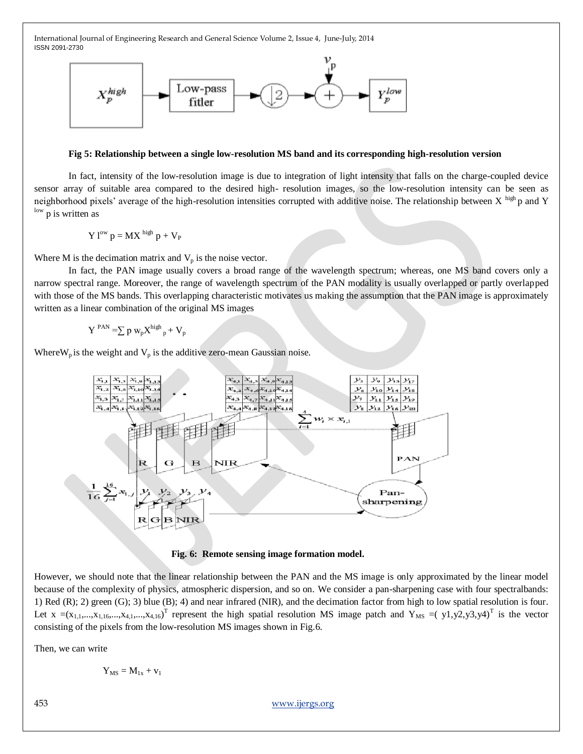

#### **Fig 5: Relationship between a single low-resolution MS band and its corresponding high-resolution version**

In fact, intensity of the low-resolution image is due to integration of light intensity that falls on the charge-coupled device sensor array of suitable area compared to the desired high- resolution images, so the low-resolution intensity can be seen as neighborhood pixels' average of the high-resolution intensities corrupted with additive noise. The relationship between  $X^{high}$ p and Y low p is written as

$$
Y\ l^{ow}\ p=MX\ ^{high}\ p+V_{P}
$$

Where M is the decimation matrix and  $V_p$  is the noise vector.

In fact, the PAN image usually covers a broad range of the wavelength spectrum; whereas, one MS band covers only a narrow spectral range. Moreover, the range of wavelength spectrum of the PAN modality is usually overlapped or partly overlapped with those of the MS bands. This overlapping characteristic motivates us making the assumption that the PAN image is approximately written as a linear combination of the original MS images

$$
Y^{PAN} = \sum p w_p X^{high}{}_{p} + V_p
$$

Where  $W_p$  is the weight and  $V_p$  is the additive zero-mean Gaussian noise.



**Fig. 6: Remote sensing image formation model.**

However, we should note that the linear relationship between the PAN and the MS image is only approximated by the linear model because of the complexity of physics, atmospheric dispersion, and so on. We consider a pan-sharpening case with four spectralbands: 1) Red (R); 2) green (G); 3) blue (B); 4) and near infrared (NIR), and the decimation factor from high to low spatial resolution is four. Let  $x = (x_{1,1},...,x_{1,16},...,x_{4,16},...,x_{4,16})$ <sup>T</sup> represent the high spatial resolution MS image patch and  $Y_{MS} = (y_1,y_2,y_3,y_4)^T$  is the vector consisting of the pixels from the low-resolution MS images shown in Fig.6.

Then, we can write

$$
Y_{\rm MS}=M_{1x}+v_1
$$

453 [www.ijergs.org](http://www.ijergs.org/)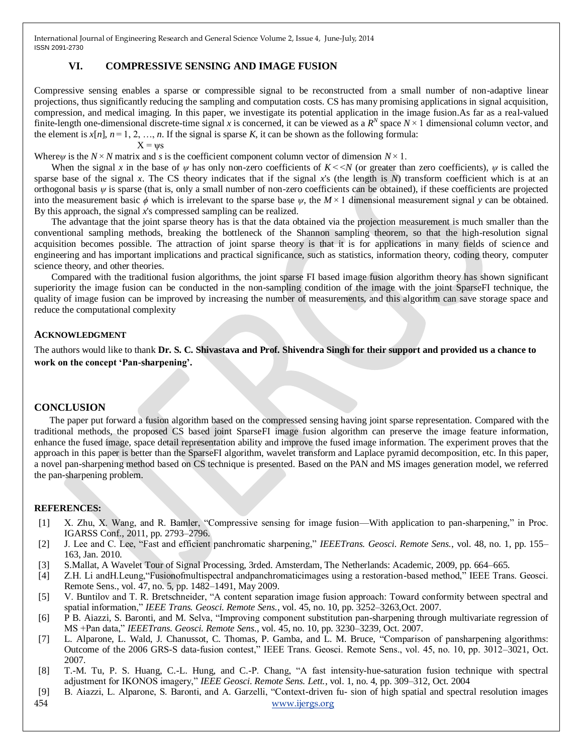## **VI. COMPRESSIVE SENSING AND IMAGE FUSION**

Compressive sensing enables a sparse or compressible signal to be reconstructed from a small number of non-adaptive linear projections, thus significantly reducing the sampling and computation costs. CS has many promising applications in signal acquisition, compression, and medical imaging. In this paper, we investigate its potential application in the image fusion.As far as a real-valued finite-length one-dimensional discrete-time signal *x* is concerned, it can be viewed as a  $R^N$  space  $N \times 1$  dimensional column vector, and the element is  $x[n]$ ,  $n=1, 2, ..., n$ . If the signal is sparse *K*, it can be shown as the following formula:  $X = \nu s$ 

Where*ψ* is the *N* × *N* matrix and *s* is the coefficient component column vector of dimension *N* × 1.

When the signal *x* in the base of  $\psi$  has only non-zero coefficients of  $K \le N$  (or greater than zero coefficients),  $\psi$  is called the sparse base of the signal *x*. The CS theory indicates that if the signal *x*'s (the length is *N*) transform coefficient which is at an orthogonal basis  $\psi$  is sparse (that is, only a small number of non-zero coefficients can be obtained), if these coefficients are projected into the measurement basic *ϕ* which is irrelevant to the sparse base *ψ*, the *M* × 1 dimensional measurement signal *y* can be obtained. By this approach, the signal *x*'s compressed sampling can be realized.

The advantage that the joint sparse theory has is that the data obtained via the projection measurement is much smaller than the conventional sampling methods, breaking the bottleneck of the Shannon sampling theorem, so that the high-resolution signal acquisition becomes possible. The attraction of joint sparse theory is that it is for applications in many fields of science and engineering and has important implications and practical significance, such as statistics, information theory, coding theory, computer science theory, and other theories.

Compared with the traditional fusion algorithms, the joint sparse FI based image fusion algorithm theory has shown significant superiority the image fusion can be conducted in the non-sampling condition of the image with the joint SparseFI technique, the quality of image fusion can be improved by increasing the number of measurements, and this algorithm can save storage space and reduce the computational complexity

## **ACKNOWLEDGMENT**

The authors would like to thank **Dr. S. C. Shivastava and Prof. Shivendra Singh for their support and provided us a chance to work on the concept 'Pan-sharpening'.**

## **CONCLUSION**

The paper put forward a fusion algorithm based on the compressed sensing having joint sparse representation. Compared with the traditional methods, the proposed CS based joint SparseFI image fusion algorithm can preserve the image feature information, enhance the fused image, space detail representation ability and improve the fused image information. The experiment proves that the approach in this paper is better than the SparseFI algorithm, wavelet transform and Laplace pyramid decomposition, etc. In this paper, a novel pan-sharpening method based on CS technique is presented. Based on the PAN and MS images generation model, we referred the pan-sharpening problem.

## **REFERENCES:**

- [1] X. Zhu, X. Wang, and R. Bamler, "Compressive sensing for image fusion—With application to pan-sharpening," in Proc. IGARSS Conf., 2011, pp. 2793–2796.
- [2] J. Lee and C. Lee, "Fast and efficient panchromatic sharpening," *IEEETrans. Geosci. Remote Sens.*, vol. 48, no. 1, pp. 155– 163, Jan. 2010.
- [3] S.Mallat, A Wavelet Tour of Signal Processing, 3rded. Amsterdam, The Netherlands: Academic, 2009, pp. 664–665.
- [4] Z.H. Li and H. Leung, "Fusionofmultispectral andpanchromaticimages using a restoration-based method," IEEE Trans. Geosci. Remote Sens., vol. 47, no. 5, pp. 1482–1491, May 2009.
- [5] V. Buntilov and T. R. Bretschneider, "A content separation image fusion approach: Toward conformity between spectral and spatial information," IEEE Trans. Geosci. Remote Sens., vol. 45, no. 10, pp. 3252-3263,Oct. 2007.
- [6] P B. Aiazzi, S. Baronti, and M. Selva, "Improving component substitution pan-sharpening through multivariate regression of MS +Pan data,‖ *IEEETrans. Geosci. Remote Sens.*, vol. 45, no. 10, pp. 3230–3239, Oct. 2007.
- [7] L. Alparone, L. Wald, J. Chanussot, C. Thomas, P. Gamba, and L. M. Bruce, "Comparison of pansharpening algorithms: Outcome of the 2006 GRS-S data-fusion contest," IEEE Trans. Geosci. Remote Sens., vol. 45, no. 10, pp. 3012–3021, Oct. 2007.
- [8] T.-M. Tu, P. S. Huang, C.-L. Hung, and C.-P. Chang, "A fast intensity-hue-saturation fusion technique with spectral adjustment for IKONOS imagery," *IEEE Geosci. Remote Sens. Lett.*, vol. 1, no. 4, pp. 309–312, Oct. 2004
- 454 [www.ijergs.org](http://www.ijergs.org/) [9] B. Aiazzi, L. Alparone, S. Baronti, and A. Garzelli, "Context-driven fu- sion of high spatial and spectral resolution images